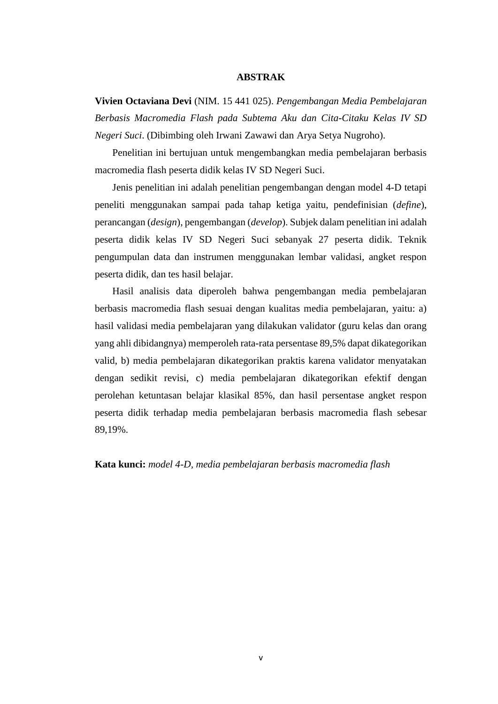## **ABSTRAK**

**Vivien Octaviana Devi** (NIM. 15 441 025). *Pengembangan Media Pembelajaran Berbasis Macromedia Flash pada Subtema Aku dan Cita-Citaku Kelas IV SD Negeri Suci*. (Dibimbing oleh Irwani Zawawi dan Arya Setya Nugroho).

 Penelitian ini bertujuan untuk mengembangkan media pembelajaran berbasis macromedia flash peserta didik kelas IV SD Negeri Suci.

 Jenis penelitian ini adalah penelitian pengembangan dengan model 4-D tetapi peneliti menggunakan sampai pada tahap ketiga yaitu, pendefinisian (*define*), perancangan (*design*), pengembangan (*develop*). Subjek dalam penelitian ini adalah peserta didik kelas IV SD Negeri Suci sebanyak 27 peserta didik. Teknik pengumpulan data dan instrumen menggunakan lembar validasi, angket respon peserta didik, dan tes hasil belajar.

 Hasil analisis data diperoleh bahwa pengembangan media pembelajaran berbasis macromedia flash sesuai dengan kualitas media pembelajaran, yaitu: a) hasil validasi media pembelajaran yang dilakukan validator (guru kelas dan orang yang ahli dibidangnya) memperoleh rata-rata persentase 89,5% dapat dikategorikan valid, b) media pembelajaran dikategorikan praktis karena validator menyatakan dengan sedikit revisi, c) media pembelajaran dikategorikan efektif dengan perolehan ketuntasan belajar klasikal 85%, dan hasil persentase angket respon peserta didik terhadap media pembelajaran berbasis macromedia flash sebesar 89,19%.

**Kata kunci:** *model 4-D, media pembelajaran berbasis macromedia flash*